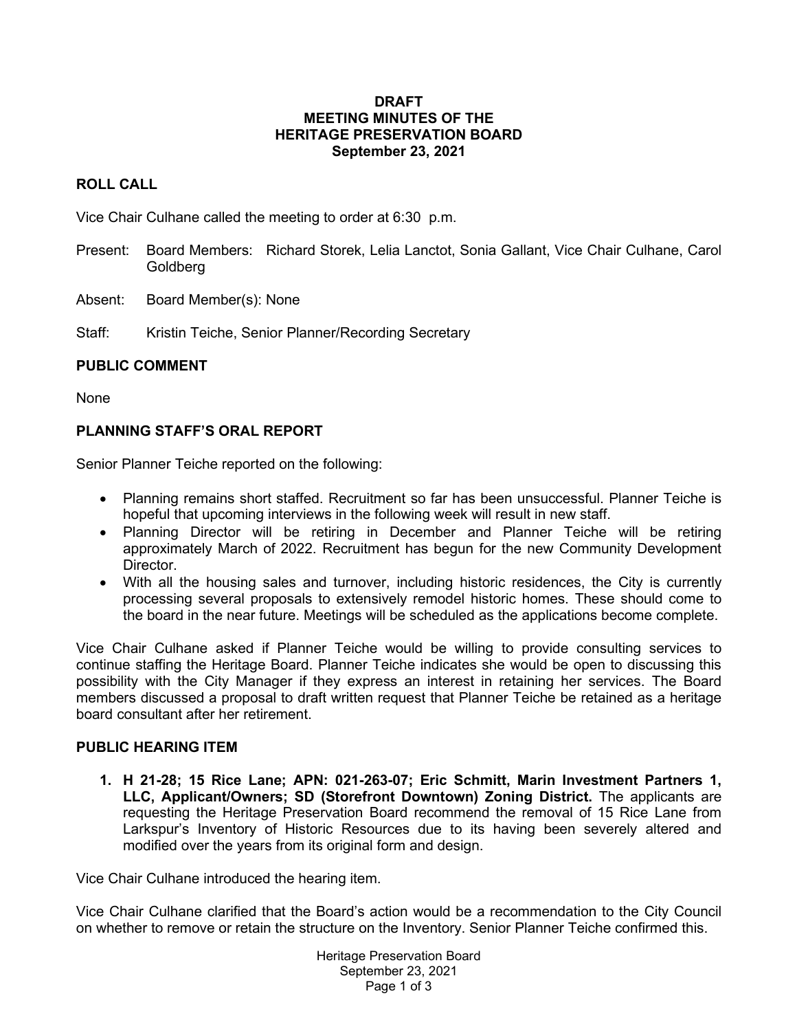#### **DRAFT MEETING MINUTES OF THE HERITAGE PRESERVATION BOARD September 23, 2021**

## **ROLL CALL**

Vice Chair Culhane called the meeting to order at 6:30 p.m.

- Present: Board Members: Richard Storek, Lelia Lanctot, Sonia Gallant, Vice Chair Culhane, Carol Goldberg
- Absent: Board Member(s): None

Staff: Kristin Teiche, Senior Planner/Recording Secretary

## **PUBLIC COMMENT**

None

# **PLANNING STAFF'S ORAL REPORT**

Senior Planner Teiche reported on the following:

- Planning remains short staffed. Recruitment so far has been unsuccessful. Planner Teiche is hopeful that upcoming interviews in the following week will result in new staff.
- Planning Director will be retiring in December and Planner Teiche will be retiring approximately March of 2022. Recruitment has begun for the new Community Development Director.
- With all the housing sales and turnover, including historic residences, the City is currently processing several proposals to extensively remodel historic homes. These should come to the board in the near future. Meetings will be scheduled as the applications become complete.

Vice Chair Culhane asked if Planner Teiche would be willing to provide consulting services to continue staffing the Heritage Board. Planner Teiche indicates she would be open to discussing this possibility with the City Manager if they express an interest in retaining her services. The Board members discussed a proposal to draft written request that Planner Teiche be retained as a heritage board consultant after her retirement.

## **PUBLIC HEARING ITEM**

**1. H 21-28; 15 Rice Lane; APN: 021-263-07; Eric Schmitt, Marin Investment Partners 1, LLC, Applicant/Owners; SD (Storefront Downtown) Zoning District.** The applicants are requesting the Heritage Preservation Board recommend the removal of 15 Rice Lane from Larkspur's Inventory of Historic Resources due to its having been severely altered and modified over the years from its original form and design.

Vice Chair Culhane introduced the hearing item.

Vice Chair Culhane clarified that the Board's action would be a recommendation to the City Council on whether to remove or retain the structure on the Inventory. Senior Planner Teiche confirmed this.

> Heritage Preservation Board September 23, 2021 Page 1 of 3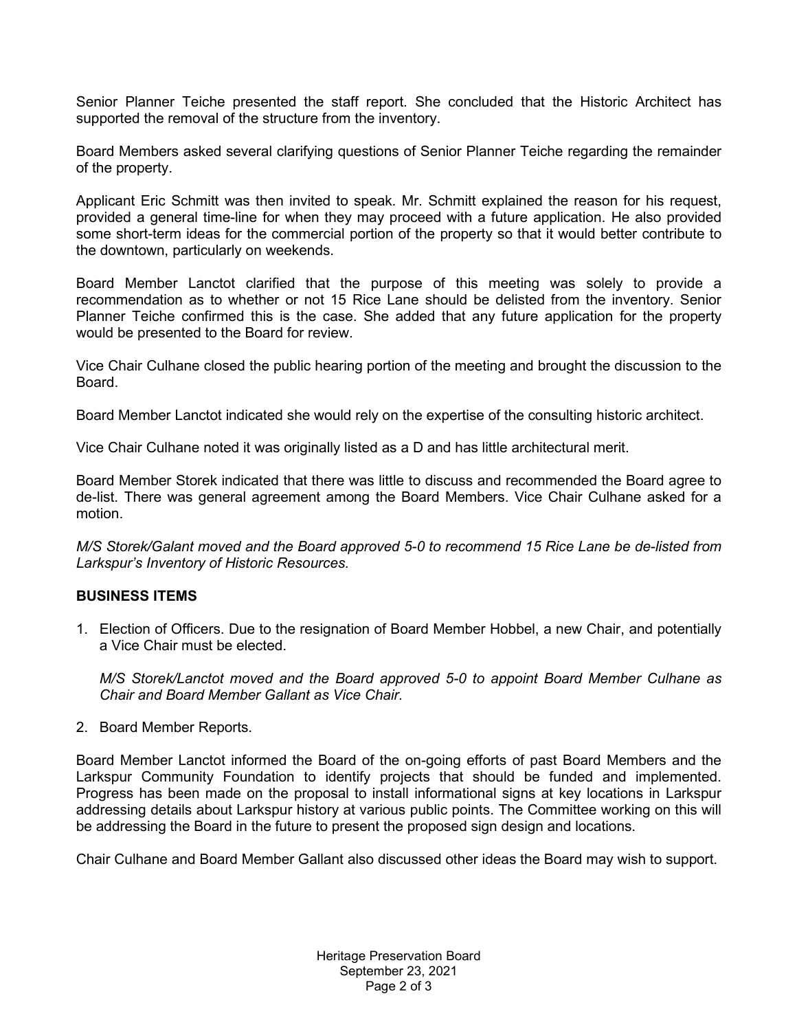Senior Planner Teiche presented the staff report. She concluded that the Historic Architect has supported the removal of the structure from the inventory.

Board Members asked several clarifying questions of Senior Planner Teiche regarding the remainder of the property.

Applicant Eric Schmitt was then invited to speak. Mr. Schmitt explained the reason for his request, provided a general time-line for when they may proceed with a future application. He also provided some short-term ideas for the commercial portion of the property so that it would better contribute to the downtown, particularly on weekends.

Board Member Lanctot clarified that the purpose of this meeting was solely to provide a recommendation as to whether or not 15 Rice Lane should be delisted from the inventory. Senior Planner Teiche confirmed this is the case. She added that any future application for the property would be presented to the Board for review.

Vice Chair Culhane closed the public hearing portion of the meeting and brought the discussion to the Board.

Board Member Lanctot indicated she would rely on the expertise of the consulting historic architect.

Vice Chair Culhane noted it was originally listed as a D and has little architectural merit.

Board Member Storek indicated that there was little to discuss and recommended the Board agree to de-list. There was general agreement among the Board Members. Vice Chair Culhane asked for a motion.

*M/S Storek/Galant moved and the Board approved 5-0 to recommend 15 Rice Lane be de-listed from Larkspur's Inventory of Historic Resources.*

## **BUSINESS ITEMS**

1. Election of Officers. Due to the resignation of Board Member Hobbel, a new Chair, and potentially a Vice Chair must be elected.

*M/S Storek/Lanctot moved and the Board approved 5-0 to appoint Board Member Culhane as Chair and Board Member Gallant as Vice Chair.*

2. Board Member Reports.

Board Member Lanctot informed the Board of the on-going efforts of past Board Members and the Larkspur Community Foundation to identify projects that should be funded and implemented. Progress has been made on the proposal to install informational signs at key locations in Larkspur addressing details about Larkspur history at various public points. The Committee working on this will be addressing the Board in the future to present the proposed sign design and locations.

Chair Culhane and Board Member Gallant also discussed other ideas the Board may wish to support.